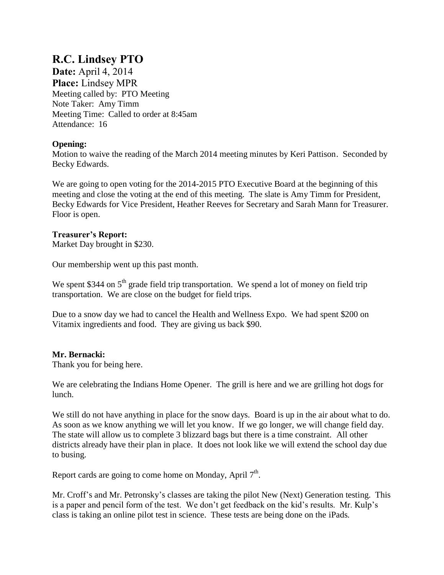# **R.C. Lindsey PTO**

**Date:** April 4, 2014 **Place:** Lindsey MPR Meeting called by: PTO Meeting Note Taker: Amy Timm Meeting Time: Called to order at 8:45am Attendance: 16

## **Opening:**

Motion to waive the reading of the March 2014 meeting minutes by Keri Pattison. Seconded by Becky Edwards.

We are going to open voting for the 2014-2015 PTO Executive Board at the beginning of this meeting and close the voting at the end of this meeting. The slate is Amy Timm for President, Becky Edwards for Vice President, Heather Reeves for Secretary and Sarah Mann for Treasurer. Floor is open.

### **Treasurer's Report:**

Market Day brought in \$230.

Our membership went up this past month.

We spent \$344 on  $5<sup>th</sup>$  grade field trip transportation. We spend a lot of money on field trip transportation. We are close on the budget for field trips.

Due to a snow day we had to cancel the Health and Wellness Expo. We had spent \$200 on Vitamix ingredients and food. They are giving us back \$90.

### **Mr. Bernacki:**

Thank you for being here.

We are celebrating the Indians Home Opener. The grill is here and we are grilling hot dogs for lunch.

We still do not have anything in place for the snow days. Board is up in the air about what to do. As soon as we know anything we will let you know. If we go longer, we will change field day. The state will allow us to complete 3 blizzard bags but there is a time constraint. All other districts already have their plan in place. It does not look like we will extend the school day due to busing.

Report cards are going to come home on Monday, April  $7<sup>th</sup>$ .

Mr. Croff's and Mr. Petronsky's classes are taking the pilot New (Next) Generation testing. This is a paper and pencil form of the test. We don't get feedback on the kid's results. Mr. Kulp's class is taking an online pilot test in science. These tests are being done on the iPads.